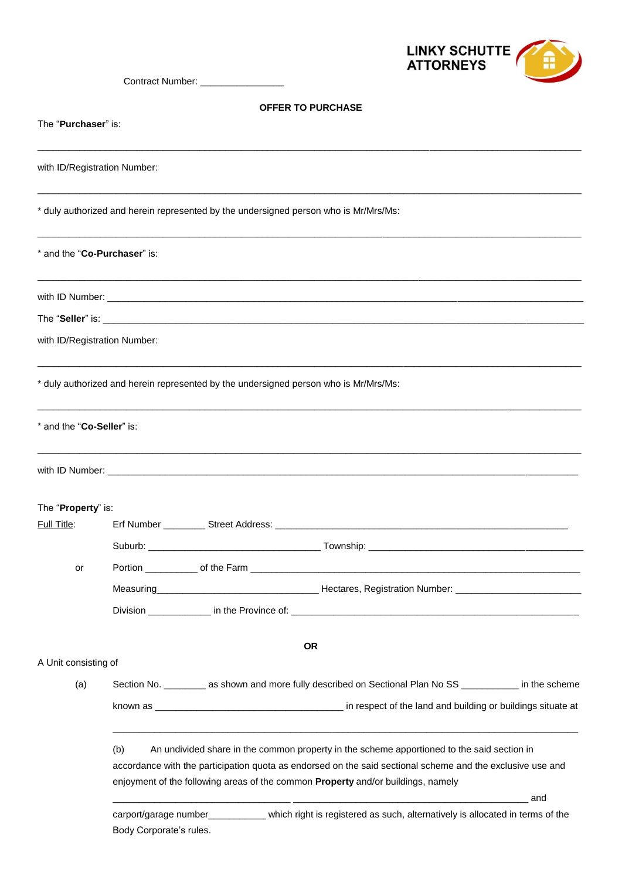

Contract Number: \_\_\_\_\_\_\_\_\_\_\_\_\_

# **OFFER TO PURCHASE**

| The " <b>Purchaser</b> " is: | FFER TU FURUMMOL                                                                                                                          |
|------------------------------|-------------------------------------------------------------------------------------------------------------------------------------------|
|                              |                                                                                                                                           |
| with ID/Registration Number: |                                                                                                                                           |
|                              | * duly authorized and herein represented by the undersigned person who is Mr/Mrs/Ms:                                                      |
| * and the "Co-Purchaser" is: |                                                                                                                                           |
|                              |                                                                                                                                           |
|                              |                                                                                                                                           |
| with ID/Registration Number: |                                                                                                                                           |
|                              | * duly authorized and herein represented by the undersigned person who is Mr/Mrs/Ms:                                                      |
| * and the "Co-Seller" is:    |                                                                                                                                           |
|                              |                                                                                                                                           |
|                              |                                                                                                                                           |
| The "Property" is:           |                                                                                                                                           |
| Full Title:                  |                                                                                                                                           |
|                              |                                                                                                                                           |
| or                           |                                                                                                                                           |
|                              |                                                                                                                                           |
|                              |                                                                                                                                           |
|                              | <b>OR</b>                                                                                                                                 |
| A Unit consisting of         |                                                                                                                                           |
| (a)                          | Section No. __________ as shown and more fully described on Sectional Plan No SS ____________ in the scheme                               |
|                              |                                                                                                                                           |
|                              | (b)<br>An undivided share in the common property in the scheme apportioned to the said section in                                         |
|                              | accordance with the participation quota as endorsed on the said sectional scheme and the exclusive use and                                |
|                              | enjoyment of the following areas of the common Property and/or buildings, namely                                                          |
|                              | and                                                                                                                                       |
|                              | carport/garage number___________ which right is registered as such, alternatively is allocated in terms of the<br>Body Corporate's rules. |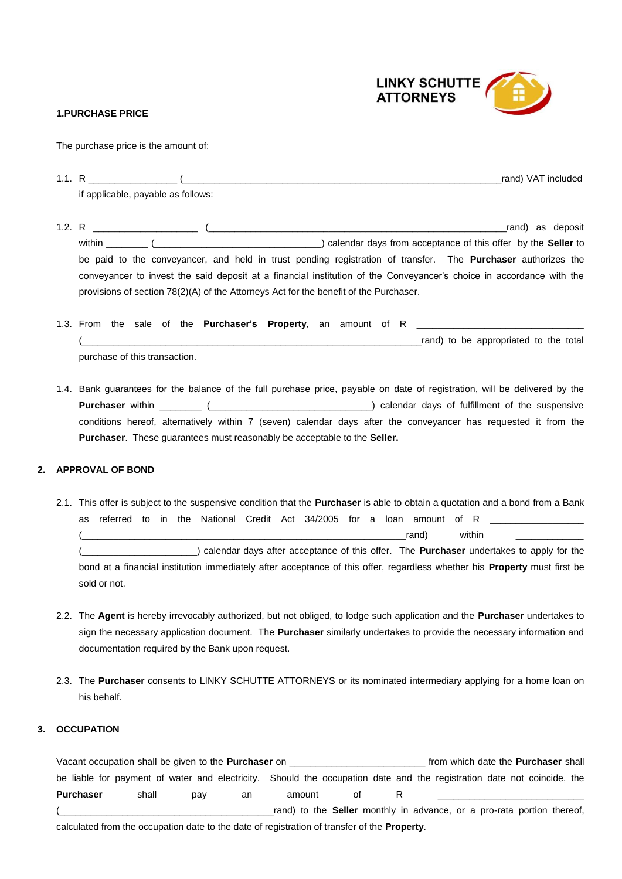

### **1.PURCHASE PRICE**

The purchase price is the amount of:

| -4 - 4<br>. |                                    | rand) VAT included |
|-------------|------------------------------------|--------------------|
|             | if applicable, payable as follows: |                    |

1.2. R \_\_\_\_\_\_\_\_\_\_\_\_\_\_\_\_\_\_\_\_ (\_\_\_\_\_\_\_\_\_\_\_\_\_\_\_\_\_\_\_\_\_\_\_\_\_\_\_\_\_\_\_\_\_\_\_\_\_\_\_\_\_\_\_\_\_\_\_\_\_\_\_\_\_\_\_\_\_rand) as deposit within \_\_\_\_\_\_\_\_ (\_\_\_\_\_\_\_\_\_\_\_\_\_\_\_\_\_\_\_\_\_\_\_\_\_\_\_\_\_\_\_\_) calendar days from acceptance of this offer by the **Seller** to be paid to the conveyancer, and held in trust pending registration of transfer. The **Purchaser** authorizes the conveyancer to invest the said deposit at a financial institution of the Conveyancer's choice in accordance with the provisions of section 78(2)(A) of the Attorneys Act for the benefit of the Purchaser.

|                               |  |  | 1.3. From the sale of the <b>Purchaser's Property</b> , an amount of R |  |  |  |  |                                       |  |  |
|-------------------------------|--|--|------------------------------------------------------------------------|--|--|--|--|---------------------------------------|--|--|
|                               |  |  |                                                                        |  |  |  |  | rand) to be appropriated to the total |  |  |
| purchase of this transaction. |  |  |                                                                        |  |  |  |  |                                       |  |  |

1.4. Bank guarantees for the balance of the full purchase price, payable on date of registration, will be delivered by the **Purchaser** within \_\_\_\_\_\_\_\_ (\_\_\_\_\_\_\_\_\_\_\_\_\_\_\_\_\_\_\_\_\_\_\_\_\_\_\_\_\_\_\_) calendar days of fulfillment of the suspensive conditions hereof, alternatively within 7 (seven) calendar days after the conveyancer has requested it from the **Purchaser**. These guarantees must reasonably be acceptable to the **Seller.**

#### **2. APPROVAL OF BOND**

- 2.1. This offer is subject to the suspensive condition that the **Purchaser** is able to obtain a quotation and a bond from a Bank as referred to in the National Credit Act 34/2005 for a loan amount of R  $\Gamma$  (and) within  $\Gamma$ (\_\_\_\_\_\_\_\_\_\_\_\_\_\_\_\_\_\_\_\_\_\_) calendar days after acceptance of this offer. The **Purchaser** undertakes to apply for the bond at a financial institution immediately after acceptance of this offer, regardless whether his **Property** must first be sold or not.
- 2.2. The **Agent** is hereby irrevocably authorized, but not obliged, to lodge such application and the **Purchaser** undertakes to sign the necessary application document. The **Purchaser** similarly undertakes to provide the necessary information and documentation required by the Bank upon request.
- 2.3. The **Purchaser** consents to LINKY SCHUTTE ATTORNEYS or its nominated intermediary applying for a home loan on his behalf.

## **3. OCCUPATION**

Vacant occupation shall be given to the **Purchaser** on \_\_\_\_\_\_\_\_\_\_\_\_\_\_\_\_\_\_\_\_\_\_\_\_\_\_ from which date the **Purchaser** shall be liable for payment of water and electricity. Should the occupation date and the registration date not coincide, the **Purchaser** shall pay an amount of R \_\_\_\_\_\_\_\_\_\_\_\_\_\_\_\_\_\_\_\_\_\_\_\_\_\_\_\_  $_{2}$ rand) to the **Seller** monthly in advance, or a pro-rata portion thereof, calculated from the occupation date to the date of registration of transfer of the **Property**.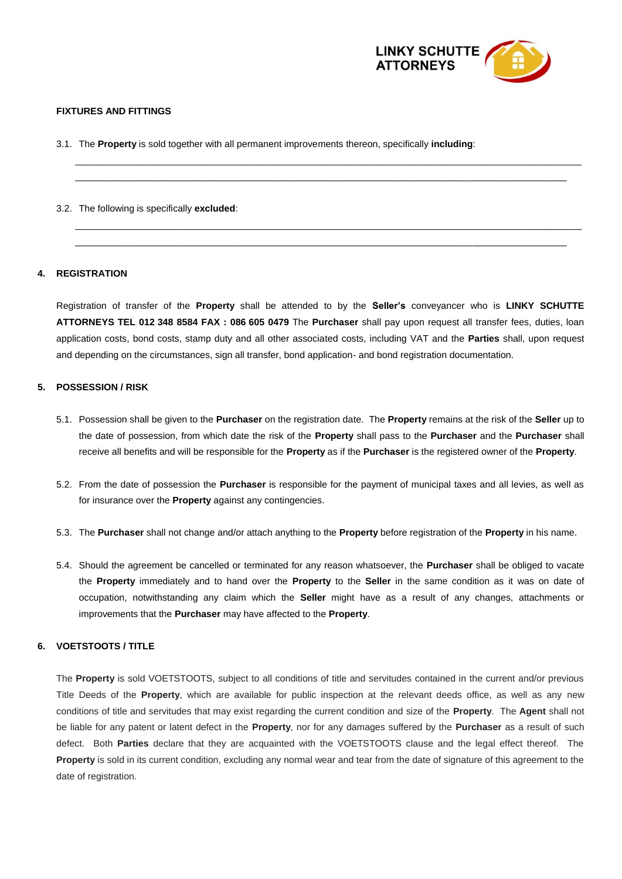

### **FIXTURES AND FITTINGS**

3.1. The **Property** is sold together with all permanent improvements thereon, specifically **including**:

3.2. The following is specifically **excluded**:

## **4. REGISTRATION**

Registration of transfer of the **Property** shall be attended to by the **Seller's** conveyancer who is **LINKY SCHUTTE ATTORNEYS TEL 012 348 8584 FAX : 086 605 0479** The **Purchaser** shall pay upon request all transfer fees, duties, loan application costs, bond costs, stamp duty and all other associated costs, including VAT and the **Parties** shall, upon request and depending on the circumstances, sign all transfer, bond application- and bond registration documentation.

 $\_$  ,  $\_$  ,  $\_$  ,  $\_$  ,  $\_$  ,  $\_$  ,  $\_$  ,  $\_$  ,  $\_$  ,  $\_$  ,  $\_$  ,  $\_$  ,  $\_$  ,  $\_$  ,  $\_$  ,  $\_$  ,  $\_$  ,  $\_$  ,  $\_$  ,  $\_$  ,  $\_$  ,  $\_$  ,  $\_$  ,  $\_$  ,  $\_$  ,  $\_$  ,  $\_$  ,  $\_$  ,  $\_$  ,  $\_$  ,  $\_$  ,  $\_$  ,  $\_$  ,  $\_$  ,  $\_$  ,  $\_$  ,  $\_$  ,  $\_$  ,  $\_$  ,  $\_$  ,  $\_$  ,  $\_$  ,  $\_$  ,  $\_$  ,  $\_$  ,  $\_$  ,  $\_$  ,  $\_$  ,  $\_$  ,  $\_$  ,  $\_$  ,  $\_$  ,  $\_$  ,  $\_$  ,  $\_$  ,  $\_$  ,  $\_$  ,  $\_$  ,  $\_$  ,  $\_$  ,  $\_$  ,  $\_$  ,  $\_$  ,  $\_$  ,  $\_$  ,  $\_$  ,  $\_$  ,  $\_$  ,  $\_$  ,  $\_$  ,  $\_$  ,  $\_$  ,  $\_$  ,  $\_$  ,

 $\_$  ,  $\_$  ,  $\_$  ,  $\_$  ,  $\_$  ,  $\_$  ,  $\_$  ,  $\_$  ,  $\_$  ,  $\_$  ,  $\_$  ,  $\_$  ,  $\_$  ,  $\_$  ,  $\_$  ,  $\_$  ,  $\_$  ,  $\_$  ,  $\_$  ,  $\_$  ,  $\_$  ,  $\_$  ,  $\_$  ,  $\_$  ,  $\_$  ,  $\_$  ,  $\_$  ,  $\_$  ,  $\_$  ,  $\_$  ,  $\_$  ,  $\_$  ,  $\_$  ,  $\_$  ,  $\_$  ,  $\_$  ,  $\_$  , \_\_\_\_\_\_\_\_\_\_\_\_\_\_\_\_\_\_\_\_\_\_\_\_\_\_\_\_\_\_\_\_\_\_\_\_\_\_\_\_\_\_\_\_\_\_\_\_\_\_\_\_\_\_\_\_\_\_\_\_\_\_\_\_\_\_\_\_\_\_\_\_\_\_\_\_\_\_\_\_\_\_\_\_\_\_\_\_\_\_\_\_\_\_

### **5. POSSESSION / RISK**

- 5.1. Possession shall be given to the **Purchaser** on the registration date. The **Property** remains at the risk of the **Seller** up to the date of possession, from which date the risk of the **Property** shall pass to the **Purchaser** and the **Purchaser** shall receive all benefits and will be responsible for the **Property** as if the **Purchaser** is the registered owner of the **Property**.
- 5.2. From the date of possession the **Purchaser** is responsible for the payment of municipal taxes and all levies, as well as for insurance over the **Property** against any contingencies.
- 5.3. The **Purchaser** shall not change and/or attach anything to the **Property** before registration of the **Property** in his name.
- 5.4. Should the agreement be cancelled or terminated for any reason whatsoever, the **Purchaser** shall be obliged to vacate the **Property** immediately and to hand over the **Property** to the **Seller** in the same condition as it was on date of occupation, notwithstanding any claim which the **Seller** might have as a result of any changes, attachments or improvements that the **Purchaser** may have affected to the **Property**.

## **6. VOETSTOOTS / TITLE**

The **Property** is sold VOETSTOOTS, subject to all conditions of title and servitudes contained in the current and/or previous Title Deeds of the **Property**, which are available for public inspection at the relevant deeds office, as well as any new conditions of title and servitudes that may exist regarding the current condition and size of the **Property**. The **Agent** shall not be liable for any patent or latent defect in the **Property**, nor for any damages suffered by the **Purchaser** as a result of such defect. Both **Parties** declare that they are acquainted with the VOETSTOOTS clause and the legal effect thereof. The **Property** is sold in its current condition, excluding any normal wear and tear from the date of signature of this agreement to the date of registration.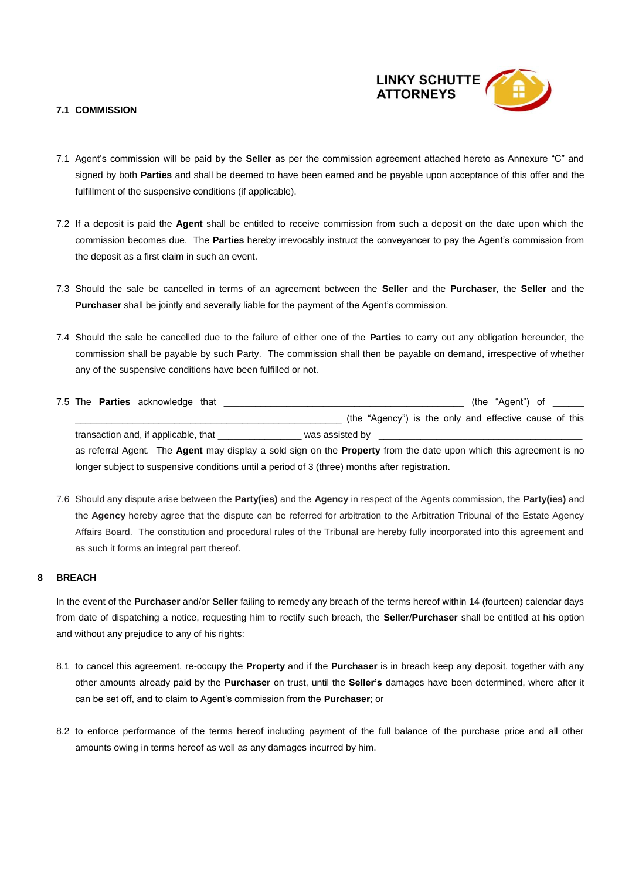

## **7.1 COMMISSION**

- 7.1 Agent's commission will be paid by the **Seller** as per the commission agreement attached hereto as Annexure "C" and signed by both **Parties** and shall be deemed to have been earned and be payable upon acceptance of this offer and the fulfillment of the suspensive conditions (if applicable).
- 7.2 If a deposit is paid the **Agent** shall be entitled to receive commission from such a deposit on the date upon which the commission becomes due. The **Parties** hereby irrevocably instruct the conveyancer to pay the Agent's commission from the deposit as a first claim in such an event.
- 7.3 Should the sale be cancelled in terms of an agreement between the **Seller** and the **Purchaser**, the **Seller** and the **Purchaser** shall be jointly and severally liable for the payment of the Agent's commission.
- 7.4 Should the sale be cancelled due to the failure of either one of the **Parties** to carry out any obligation hereunder, the commission shall be payable by such Party. The commission shall then be payable on demand, irrespective of whether any of the suspensive conditions have been fulfilled or not.

|  | 7.5 The <b>Parties</b> acknowledge that |  |                 |                                                        |  | (the "Agent") of |  |
|--|-----------------------------------------|--|-----------------|--------------------------------------------------------|--|------------------|--|
|  |                                         |  |                 | (the "Agency") is the only and effective cause of this |  |                  |  |
|  | transaction and, if applicable, that    |  | was assisted by |                                                        |  |                  |  |

as referral Agent. The **Agent** may display a sold sign on the **Property** from the date upon which this agreement is no longer subject to suspensive conditions until a period of 3 (three) months after registration.

7.6 Should any dispute arise between the **Party(ies)** and the **Agency** in respect of the Agents commission, the **Party(ies)** and the **Agency** hereby agree that the dispute can be referred for arbitration to the Arbitration Tribunal of the Estate Agency Affairs Board. The constitution and procedural rules of the Tribunal are hereby fully incorporated into this agreement and as such it forms an integral part thereof.

## **8 BREACH**

In the event of the **Purchaser** and/or **Seller** failing to remedy any breach of the terms hereof within 14 (fourteen) calendar days from date of dispatching a notice, requesting him to rectify such breach, the **Seller**/**Purchaser** shall be entitled at his option and without any prejudice to any of his rights:

- 8.1 to cancel this agreement, re-occupy the **Property** and if the **Purchaser** is in breach keep any deposit, together with any other amounts already paid by the **Purchaser** on trust, until the **Seller's** damages have been determined, where after it can be set off, and to claim to Agent's commission from the **Purchaser**; or
- 8.2 to enforce performance of the terms hereof including payment of the full balance of the purchase price and all other amounts owing in terms hereof as well as any damages incurred by him.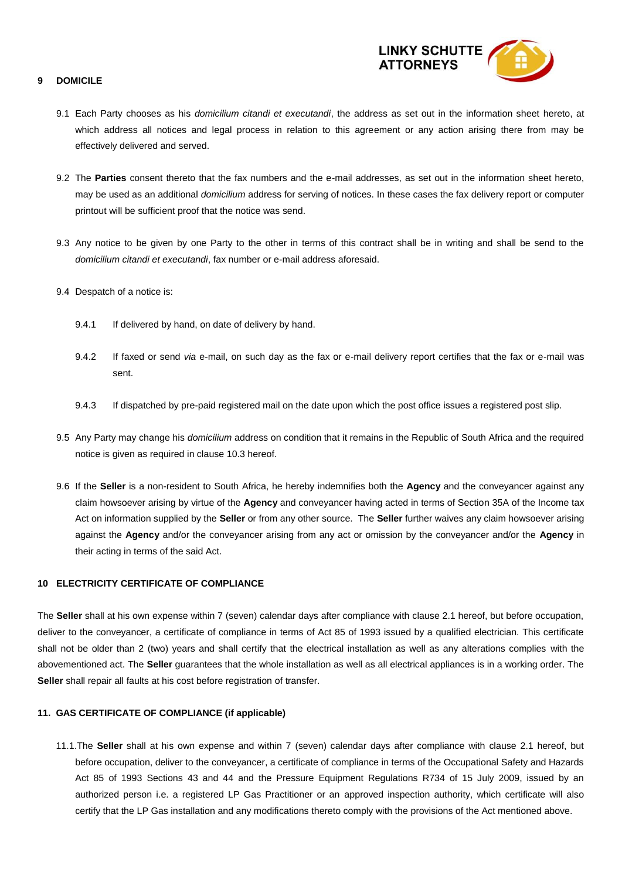

## **9 DOMICILE**

- 9.1 Each Party chooses as his *domicilium citandi et executandi*, the address as set out in the information sheet hereto, at which address all notices and legal process in relation to this agreement or any action arising there from may be effectively delivered and served.
- 9.2 The **Parties** consent thereto that the fax numbers and the e-mail addresses, as set out in the information sheet hereto, may be used as an additional *domicilium* address for serving of notices. In these cases the fax delivery report or computer printout will be sufficient proof that the notice was send.
- 9.3 Any notice to be given by one Party to the other in terms of this contract shall be in writing and shall be send to the *domicilium citandi et executandi*, fax number or e-mail address aforesaid.
- 9.4 Despatch of a notice is:
	- 9.4.1 If delivered by hand, on date of delivery by hand.
	- 9.4.2 If faxed or send *via* e-mail, on such day as the fax or e-mail delivery report certifies that the fax or e-mail was sent.
	- 9.4.3 If dispatched by pre-paid registered mail on the date upon which the post office issues a registered post slip.
- 9.5 Any Party may change his *domicilium* address on condition that it remains in the Republic of South Africa and the required notice is given as required in clause 10.3 hereof.
- 9.6 If the **Seller** is a non-resident to South Africa, he hereby indemnifies both the **Agency** and the conveyancer against any claim howsoever arising by virtue of the **Agency** and conveyancer having acted in terms of Section 35A of the Income tax Act on information supplied by the **Seller** or from any other source. The **Seller** further waives any claim howsoever arising against the **Agency** and/or the conveyancer arising from any act or omission by the conveyancer and/or the **Agency** in their acting in terms of the said Act.

## **10 ELECTRICITY CERTIFICATE OF COMPLIANCE**

The **Seller** shall at his own expense within 7 (seven) calendar days after compliance with clause 2.1 hereof, but before occupation, deliver to the conveyancer, a certificate of compliance in terms of Act 85 of 1993 issued by a qualified electrician. This certificate shall not be older than 2 (two) years and shall certify that the electrical installation as well as any alterations complies with the abovementioned act. The **Seller** guarantees that the whole installation as well as all electrical appliances is in a working order. The **Seller** shall repair all faults at his cost before registration of transfer.

## **11. GAS CERTIFICATE OF COMPLIANCE (if applicable)**

 11.1.The **Seller** shall at his own expense and within 7 (seven) calendar days after compliance with clause 2.1 hereof, but before occupation, deliver to the conveyancer, a certificate of compliance in terms of the Occupational Safety and Hazards Act 85 of 1993 Sections 43 and 44 and the Pressure Equipment Regulations R734 of 15 July 2009, issued by an authorized person i.e. a registered LP Gas Practitioner or an approved inspection authority, which certificate will also certify that the LP Gas installation and any modifications thereto comply with the provisions of the Act mentioned above.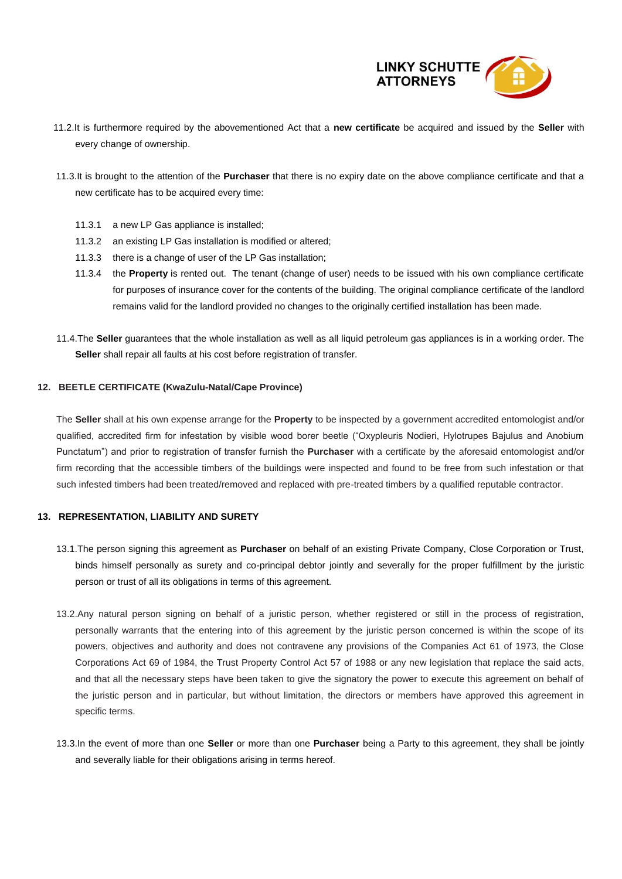

- 11.2.It is furthermore required by the abovementioned Act that a **new certificate** be acquired and issued by the **Seller** with every change of ownership.
- 11.3.It is brought to the attention of the **Purchaser** that there is no expiry date on the above compliance certificate and that a new certificate has to be acquired every time:
	- 11.3.1 a new LP Gas appliance is installed;
	- 11.3.2 an existing LP Gas installation is modified or altered;
	- 11.3.3 there is a change of user of the LP Gas installation;
	- 11.3.4 the **Property** is rented out. The tenant (change of user) needs to be issued with his own compliance certificate for purposes of insurance cover for the contents of the building. The original compliance certificate of the landlord remains valid for the landlord provided no changes to the originally certified installation has been made.
- 11.4.The **Seller** guarantees that the whole installation as well as all liquid petroleum gas appliances is in a working order. The **Seller** shall repair all faults at his cost before registration of transfer.

### **12. BEETLE CERTIFICATE (KwaZulu-Natal/Cape Province)**

The **Seller** shall at his own expense arrange for the **Property** to be inspected by a government accredited entomologist and/or qualified, accredited firm for infestation by visible wood borer beetle ("Oxypleuris Nodieri, Hylotrupes Bajulus and Anobium Punctatum") and prior to registration of transfer furnish the **Purchaser** with a certificate by the aforesaid entomologist and/or firm recording that the accessible timbers of the buildings were inspected and found to be free from such infestation or that such infested timbers had been treated/removed and replaced with pre-treated timbers by a qualified reputable contractor.

#### **13. REPRESENTATION, LIABILITY AND SURETY**

- 13.1.The person signing this agreement as **Purchaser** on behalf of an existing Private Company, Close Corporation or Trust, binds himself personally as surety and co-principal debtor jointly and severally for the proper fulfillment by the juristic person or trust of all its obligations in terms of this agreement.
- 13.2.Any natural person signing on behalf of a juristic person, whether registered or still in the process of registration, personally warrants that the entering into of this agreement by the juristic person concerned is within the scope of its powers, objectives and authority and does not contravene any provisions of the Companies Act 61 of 1973, the Close Corporations Act 69 of 1984, the Trust Property Control Act 57 of 1988 or any new legislation that replace the said acts, and that all the necessary steps have been taken to give the signatory the power to execute this agreement on behalf of the juristic person and in particular, but without limitation, the directors or members have approved this agreement in specific terms.
- 13.3.In the event of more than one **Seller** or more than one **Purchaser** being a Party to this agreement, they shall be jointly and severally liable for their obligations arising in terms hereof.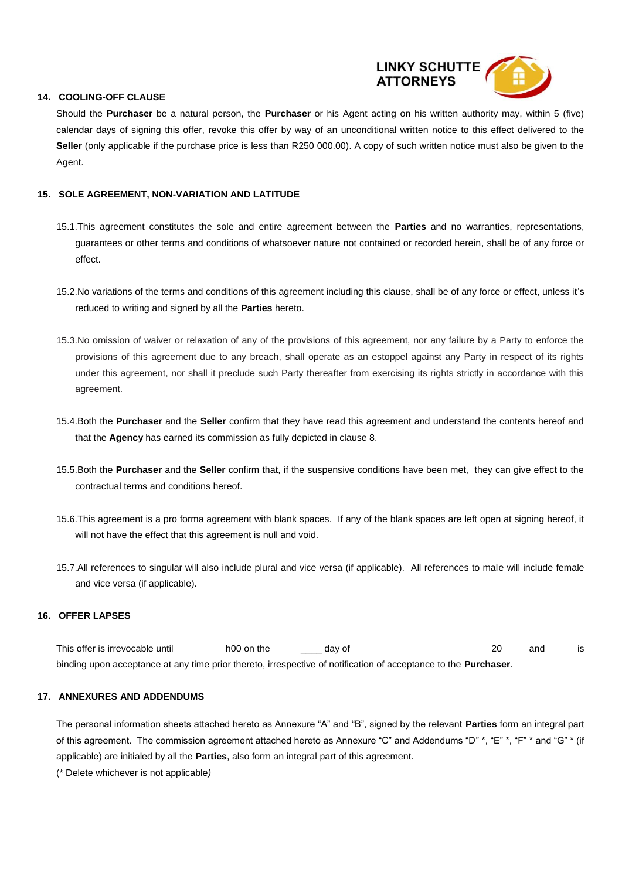

## **14. COOLING-OFF CLAUSE**

Should the **Purchaser** be a natural person, the **Purchaser** or his Agent acting on his written authority may, within 5 (five) calendar days of signing this offer, revoke this offer by way of an unconditional written notice to this effect delivered to the **Seller** (only applicable if the purchase price is less than R250 000.00). A copy of such written notice must also be given to the Agent.

## **15. SOLE AGREEMENT, NON-VARIATION AND LATITUDE**

- 15.1.This agreement constitutes the sole and entire agreement between the **Parties** and no warranties, representations, guarantees or other terms and conditions of whatsoever nature not contained or recorded herein, shall be of any force or effect.
- 15.2.No variations of the terms and conditions of this agreement including this clause, shall be of any force or effect, unless it's reduced to writing and signed by all the **Parties** hereto.
- 15.3.No omission of waiver or relaxation of any of the provisions of this agreement, nor any failure by a Party to enforce the provisions of this agreement due to any breach, shall operate as an estoppel against any Party in respect of its rights under this agreement, nor shall it preclude such Party thereafter from exercising its rights strictly in accordance with this agreement.
- 15.4.Both the **Purchaser** and the **Seller** confirm that they have read this agreement and understand the contents hereof and that the **Agency** has earned its commission as fully depicted in clause 8.
- 15.5.Both the **Purchaser** and the **Seller** confirm that, if the suspensive conditions have been met, they can give effect to the contractual terms and conditions hereof.
- 15.6.This agreement is a pro forma agreement with blank spaces. If any of the blank spaces are left open at signing hereof, it will not have the effect that this agreement is null and void.
- 15.7.All references to singular will also include plural and vice versa (if applicable). All references to male will include female and vice versa (if applicable).

## **16. OFFER LAPSES**

This offer is irrevocable until h00 on the and day of the 20 and is binding upon acceptance at any time prior thereto, irrespective of notification of acceptance to the **Purchaser**.

#### **17. ANNEXURES AND ADDENDUMS**

The personal information sheets attached hereto as Annexure "A" and "B", signed by the relevant **Parties** form an integral part of this agreement. The commission agreement attached hereto as Annexure "C" and Addendums "D" \*, "E" \*, "F" \* and "G" \* (if applicable) are initialed by all the **Parties**, also form an integral part of this agreement.

(\* Delete whichever is not applicable*)*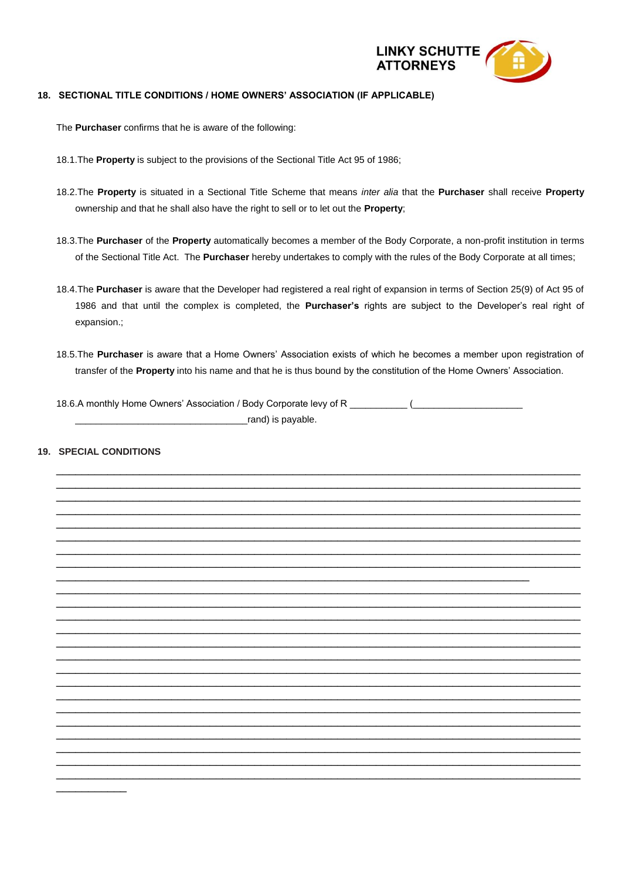

## **18. SECTIONAL TITLE CONDITIONS / HOME OWNERS' ASSOCIATION (IF APPLICABLE)**

The **Purchaser** confirms that he is aware of the following:

- 18.1.The **Property** is subject to the provisions of the Sectional Title Act 95 of 1986;
- 18.2.The **Property** is situated in a Sectional Title Scheme that means *inter alia* that the **Purchaser** shall receive **Property** ownership and that he shall also have the right to sell or to let out the **Property**;
- 18.3.The **Purchaser** of the **Property** automatically becomes a member of the Body Corporate, a non-profit institution in terms of the Sectional Title Act. The **Purchaser** hereby undertakes to comply with the rules of the Body Corporate at all times;
- 18.4.The **Purchaser** is aware that the Developer had registered a real right of expansion in terms of Section 25(9) of Act 95 of 1986 and that until the complex is completed, the **Purchaser's** rights are subject to the Developer's real right of expansion.;
- 18.5.The **Purchaser** is aware that a Home Owners' Association exists of which he becomes a member upon registration of transfer of the **Property** into his name and that he is thus bound by the constitution of the Home Owners' Association.
- 18.6.A monthly Home Owners' Association / Body Corporate levy of R \_\_\_\_\_\_\_\_\_ (\_\_\_\_\_\_\_\_\_\_\_\_\_\_\_\_\_\_\_\_\_\_ rand) is pavable.

## **19. SPECIAL CONDITIONS**

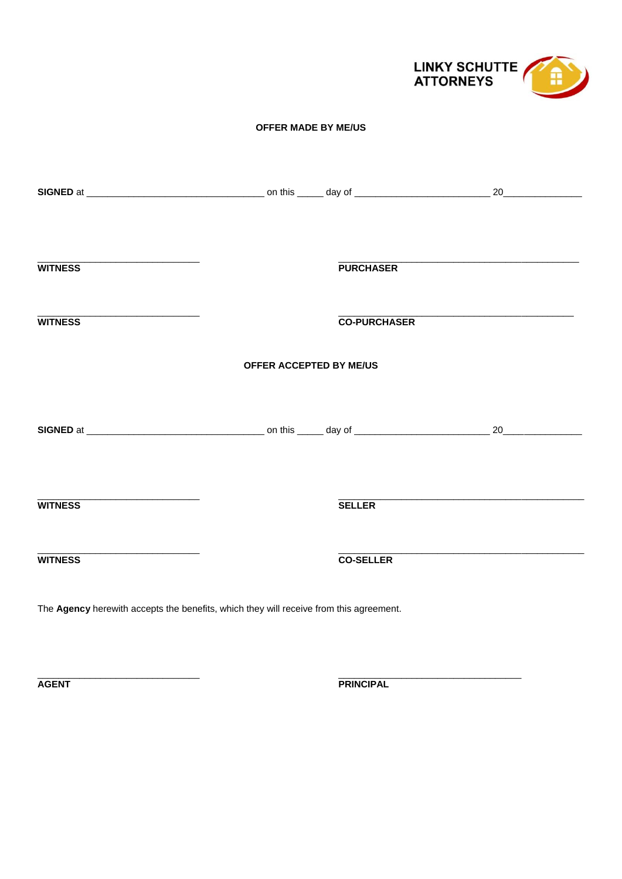

## **OFFER MADE BY ME/US**

| <b>WITNESS</b>                                                                         |                                | <b>PURCHASER</b>    |  |
|----------------------------------------------------------------------------------------|--------------------------------|---------------------|--|
| <b>WITNESS</b>                                                                         |                                | <b>CO-PURCHASER</b> |  |
|                                                                                        | <b>OFFER ACCEPTED BY ME/US</b> |                     |  |
|                                                                                        |                                |                     |  |
| <b>WITNESS</b>                                                                         |                                | <b>SELLER</b>       |  |
| <b>WITNESS</b>                                                                         |                                | <b>CO-SELLER</b>    |  |
| The Agency herewith accepts the benefits, which they will receive from this agreement. |                                |                     |  |

**AGENT** 

**PRINCIPAL**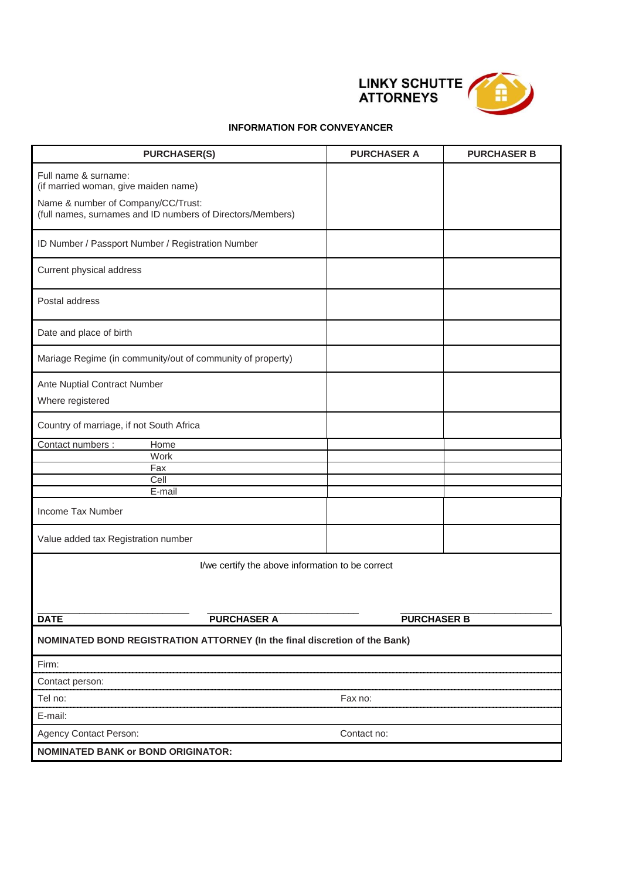

## **INFORMATION FOR CONVEYANCER**

| <b>PURCHASER(S)</b>                                                                                                                                              | <b>PURCHASER A</b>                                                         | <b>PURCHASER B</b> |  |  |  |  |
|------------------------------------------------------------------------------------------------------------------------------------------------------------------|----------------------------------------------------------------------------|--------------------|--|--|--|--|
| Full name & surname:<br>(if married woman, give maiden name)<br>Name & number of Company/CC/Trust:<br>(full names, surnames and ID numbers of Directors/Members) |                                                                            |                    |  |  |  |  |
| ID Number / Passport Number / Registration Number                                                                                                                |                                                                            |                    |  |  |  |  |
| Current physical address                                                                                                                                         |                                                                            |                    |  |  |  |  |
| Postal address                                                                                                                                                   |                                                                            |                    |  |  |  |  |
| Date and place of birth                                                                                                                                          |                                                                            |                    |  |  |  |  |
| Mariage Regime (in community/out of community of property)                                                                                                       |                                                                            |                    |  |  |  |  |
| Ante Nuptial Contract Number                                                                                                                                     |                                                                            |                    |  |  |  |  |
| Where registered                                                                                                                                                 |                                                                            |                    |  |  |  |  |
| Country of marriage, if not South Africa                                                                                                                         |                                                                            |                    |  |  |  |  |
| Contact numbers :<br>Home                                                                                                                                        |                                                                            |                    |  |  |  |  |
| Work                                                                                                                                                             |                                                                            |                    |  |  |  |  |
| Fax<br>Cell                                                                                                                                                      |                                                                            |                    |  |  |  |  |
| E-mail                                                                                                                                                           |                                                                            |                    |  |  |  |  |
| Income Tax Number                                                                                                                                                |                                                                            |                    |  |  |  |  |
| Value added tax Registration number                                                                                                                              |                                                                            |                    |  |  |  |  |
| I/we certify the above information to be correct                                                                                                                 |                                                                            |                    |  |  |  |  |
| <b>DATE</b><br><b>PURCHASER A</b>                                                                                                                                | <b>PURCHASER B</b>                                                         |                    |  |  |  |  |
|                                                                                                                                                                  | NOMINATED BOND REGISTRATION ATTORNEY (In the final discretion of the Bank) |                    |  |  |  |  |
| Firm:                                                                                                                                                            |                                                                            |                    |  |  |  |  |
| Contact person:                                                                                                                                                  |                                                                            |                    |  |  |  |  |
| Tel no:                                                                                                                                                          | Fax no:                                                                    |                    |  |  |  |  |
| E-mail:                                                                                                                                                          |                                                                            |                    |  |  |  |  |
| <b>Agency Contact Person:</b>                                                                                                                                    | Contact no:                                                                |                    |  |  |  |  |
| <b>NOMINATED BANK or BOND ORIGINATOR:</b>                                                                                                                        |                                                                            |                    |  |  |  |  |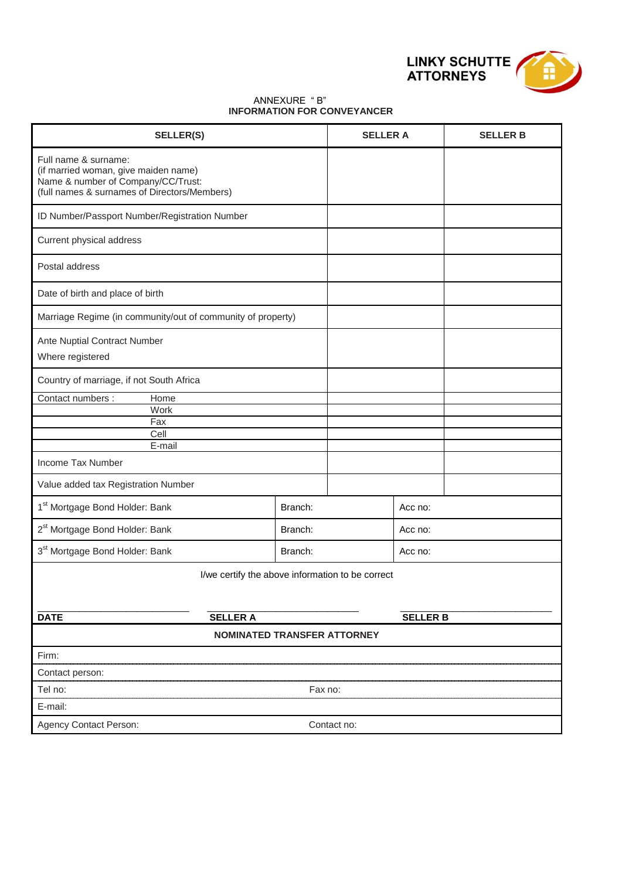

### ANNEXURE " B" **INFORMATION FOR CONVEYANCER**

| <b>SELLER(S)</b>                                                                                                                                   |         | <b>SELLER A</b> |                 | <b>SELLER B</b> |
|----------------------------------------------------------------------------------------------------------------------------------------------------|---------|-----------------|-----------------|-----------------|
| Full name & surname:<br>(if married woman, give maiden name)<br>Name & number of Company/CC/Trust:<br>(full names & surnames of Directors/Members) |         |                 |                 |                 |
| ID Number/Passport Number/Registration Number                                                                                                      |         |                 |                 |                 |
| Current physical address                                                                                                                           |         |                 |                 |                 |
| Postal address                                                                                                                                     |         |                 |                 |                 |
| Date of birth and place of birth                                                                                                                   |         |                 |                 |                 |
| Marriage Regime (in community/out of community of property)                                                                                        |         |                 |                 |                 |
| Ante Nuptial Contract Number<br>Where registered                                                                                                   |         |                 |                 |                 |
| Country of marriage, if not South Africa                                                                                                           |         |                 |                 |                 |
| Contact numbers :<br>Home                                                                                                                          |         |                 |                 |                 |
| Work<br>Fax                                                                                                                                        |         |                 |                 |                 |
| Cell                                                                                                                                               |         |                 |                 |                 |
| E-mail                                                                                                                                             |         |                 |                 |                 |
| Income Tax Number                                                                                                                                  |         |                 |                 |                 |
| Value added tax Registration Number                                                                                                                |         |                 |                 |                 |
| 1 <sup>st</sup> Mortgage Bond Holder: Bank                                                                                                         | Branch: |                 | Acc no:         |                 |
| 2 <sup>st</sup> Mortgage Bond Holder: Bank                                                                                                         | Branch: |                 | Acc no:         |                 |
| 3 <sup>st</sup> Mortgage Bond Holder: Bank                                                                                                         | Branch: |                 |                 |                 |
| I/we certify the above information to be correct                                                                                                   |         |                 |                 |                 |
|                                                                                                                                                    |         |                 |                 |                 |
| <b>DATE</b><br><b>SELLER A</b>                                                                                                                     |         |                 | <b>SELLER B</b> |                 |
| <b>NOMINATED TRANSFER ATTORNEY</b>                                                                                                                 |         |                 |                 |                 |
| Firm:                                                                                                                                              |         |                 |                 |                 |
| Contact person:                                                                                                                                    |         |                 |                 |                 |
| Tel no:                                                                                                                                            | Fax no: |                 |                 |                 |
| E-mail:                                                                                                                                            |         |                 |                 |                 |
| Agency Contact Person:                                                                                                                             |         | Contact no:     |                 |                 |